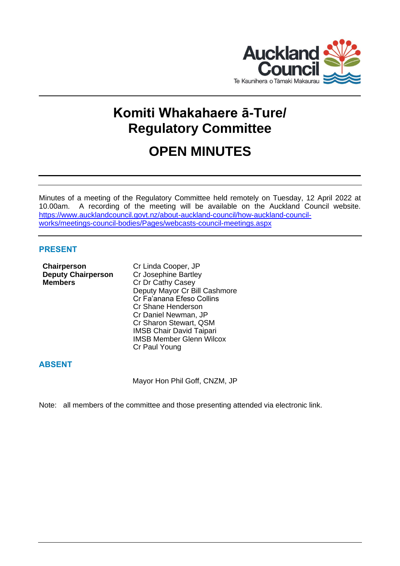

# **Komiti Whakahaere ā-Ture/ Regulatory Committee**

## **OPEN MINUTES**

Minutes of a meeting of the Regulatory Committee held remotely on Tuesday, 12 April 2022 at 10.00am. A recording of the meeting will be available on the Auckland Council website. [https://www.aucklandcouncil.govt.nz/about-auckland-council/how-auckland-council](https://www.aucklandcouncil.govt.nz/about-auckland-council/how-auckland-council-works/meetings-council-bodies/Pages/webcasts-council-meetings.aspx)[works/meetings-council-bodies/Pages/webcasts-council-meetings.aspx](https://www.aucklandcouncil.govt.nz/about-auckland-council/how-auckland-council-works/meetings-council-bodies/Pages/webcasts-council-meetings.aspx)

## **PRESENT**

**Chairperson** Cr Linda Cooper, JP **Deputy Chairperson** Cr Josephine Bartley **Members** Cr Dr Cathy Casey

Deputy Mayor Cr Bill Cashmore Cr Fa'anana Efeso Collins Cr Shane Henderson Cr Daniel Newman, JP Cr Sharon Stewart, QSM IMSB Chair David Taipari IMSB Member Glenn Wilcox Cr Paul Young

## **ABSENT**

Mayor Hon Phil Goff, CNZM, JP

Note: all members of the committee and those presenting attended via electronic link.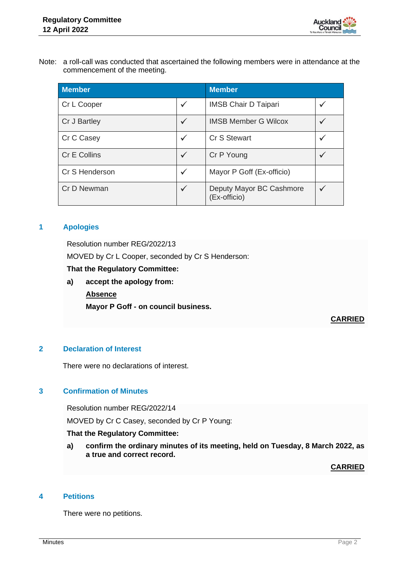

Note: a roll-call was conducted that ascertained the following members were in attendance at the commencement of the meeting.

| <b>Member</b>  |              | <b>Member</b>                            |  |
|----------------|--------------|------------------------------------------|--|
| Cr L Cooper    | $\checkmark$ | <b>IMSB Chair D Taipari</b>              |  |
| Cr J Bartley   | $\checkmark$ | <b>IMSB Member G Wilcox</b>              |  |
| Cr C Casey     | $\checkmark$ | Cr S Stewart                             |  |
| Cr E Collins   | $\checkmark$ | Cr P Young                               |  |
| Cr S Henderson | $\checkmark$ | Mayor P Goff (Ex-officio)                |  |
| Cr D Newman    | $\checkmark$ | Deputy Mayor BC Cashmore<br>(Ex-officio) |  |

## **1 Apologies**

Resolution number REG/2022/13

MOVED by Cr L Cooper, seconded by Cr S Henderson:

## **That the Regulatory Committee:**

**a) accept the apology from:**

## **Absence**

**Mayor P Goff - on council business.**

## **CARRIED**

## **2 Declaration of Interest**

There were no declarations of interest.

## **3 Confirmation of Minutes**

Resolution number REG/2022/14

MOVED by Cr C Casey, seconded by Cr P Young:

## **That the Regulatory Committee:**

**a) confirm the ordinary minutes of its meeting, held on Tuesday, 8 March 2022, as a true and correct record.**

**CARRIED**

## **4 Petitions**

There were no petitions.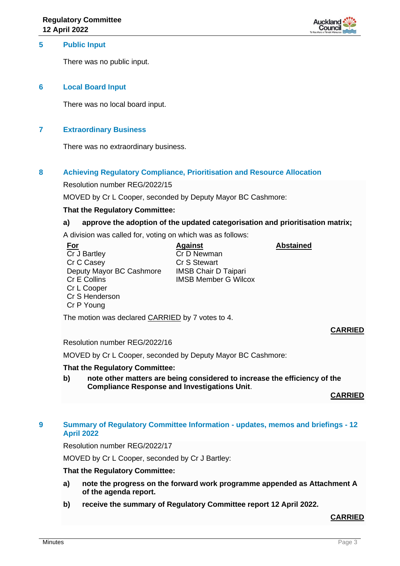

## **5 Public Input**

There was no public input.

#### **6 Local Board Input**

There was no local board input.

#### **7 Extraordinary Business**

There was no extraordinary business.

## **8 Achieving Regulatory Compliance, Prioritisation and Resource Allocation**

Resolution number REG/2022/15

MOVED by Cr L Cooper, seconded by Deputy Mayor BC Cashmore:

#### **That the Regulatory Committee:**

#### **a) approve the adoption of the updated categorisation and prioritisation matrix;**

A division was called for, voting on which was as follows:

**For** Cr J Bartley Cr C Casey Deputy Mayor BC Cashmore Cr E Collins Cr L Cooper Cr S Henderson Cr P Young

**Against** Cr D Newman Cr S Stewart IMSB Chair D Taipari IMSB Member G Wilcox **Abstained**

The motion was declared CARRIED by 7 votes to 4.

Resolution number REG/2022/16

MOVED by Cr L Cooper, seconded by Deputy Mayor BC Cashmore:

#### **That the Regulatory Committee:**

**b) note other matters are being considered to increase the efficiency of the Compliance Response and Investigations Unit**.

**CARRIED**

**CARRIED**

## **9 Summary of Regulatory Committee Information - updates, memos and briefings - 12 April 2022**

Resolution number REG/2022/17

MOVED by Cr L Cooper, seconded by Cr J Bartley:

#### **That the Regulatory Committee:**

- **a) note the progress on the forward work programme appended as Attachment A of the agenda report.**
- **b) receive the summary of Regulatory Committee report 12 April 2022.**

## **CARRIED**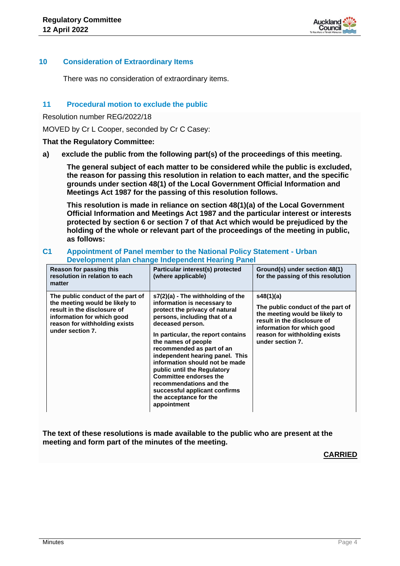

#### **10 Consideration of Extraordinary Items**

There was no consideration of extraordinary items.

#### **11 Procedural motion to exclude the public**

Resolution number REG/2022/18

MOVED by Cr L Cooper, seconded by Cr C Casey:

**That the Regulatory Committee:**

**a) exclude the public from the following part(s) of the proceedings of this meeting.**

**The general subject of each matter to be considered while the public is excluded, the reason for passing this resolution in relation to each matter, and the specific grounds under section 48(1) of the Local Government Official Information and Meetings Act 1987 for the passing of this resolution follows.**

**This resolution is made in reliance on section 48(1)(a) of the Local Government Official Information and Meetings Act 1987 and the particular interest or interests protected by section 6 or section 7 of that Act which would be prejudiced by the holding of the whole or relevant part of the proceedings of the meeting in public, as follows:**

#### **C1 Appointment of Panel member to the National Policy Statement - Urban Development plan change Independent Hearing Panel**

| Reason for passing this<br>resolution in relation to each<br>matter                                                                                                                   | Particular interest(s) protected<br>(where applicable)                                                                                                                                                                                                                                                                                                                                                                                                                                       | Ground(s) under section 48(1)<br>for the passing of this resolution                                                                                                                                |
|---------------------------------------------------------------------------------------------------------------------------------------------------------------------------------------|----------------------------------------------------------------------------------------------------------------------------------------------------------------------------------------------------------------------------------------------------------------------------------------------------------------------------------------------------------------------------------------------------------------------------------------------------------------------------------------------|----------------------------------------------------------------------------------------------------------------------------------------------------------------------------------------------------|
| The public conduct of the part of<br>the meeting would be likely to<br>result in the disclosure of<br>information for which good<br>reason for withholding exists<br>under section 7. | $s7(2)(a)$ - The withholding of the<br>information is necessary to<br>protect the privacy of natural<br>persons, including that of a<br>deceased person.<br>In particular, the report contains<br>the names of people<br>recommended as part of an<br>independent hearing panel. This<br>information should not be made<br>public until the Regulatory<br><b>Committee endorses the</b><br>recommendations and the<br>successful applicant confirms<br>the acceptance for the<br>appointment | s48(1)(a)<br>The public conduct of the part of<br>the meeting would be likely to<br>result in the disclosure of<br>information for which good<br>reason for withholding exists<br>under section 7. |

**The text of these resolutions is made available to the public who are present at the meeting and form part of the minutes of the meeting.**

#### **CARRIED**